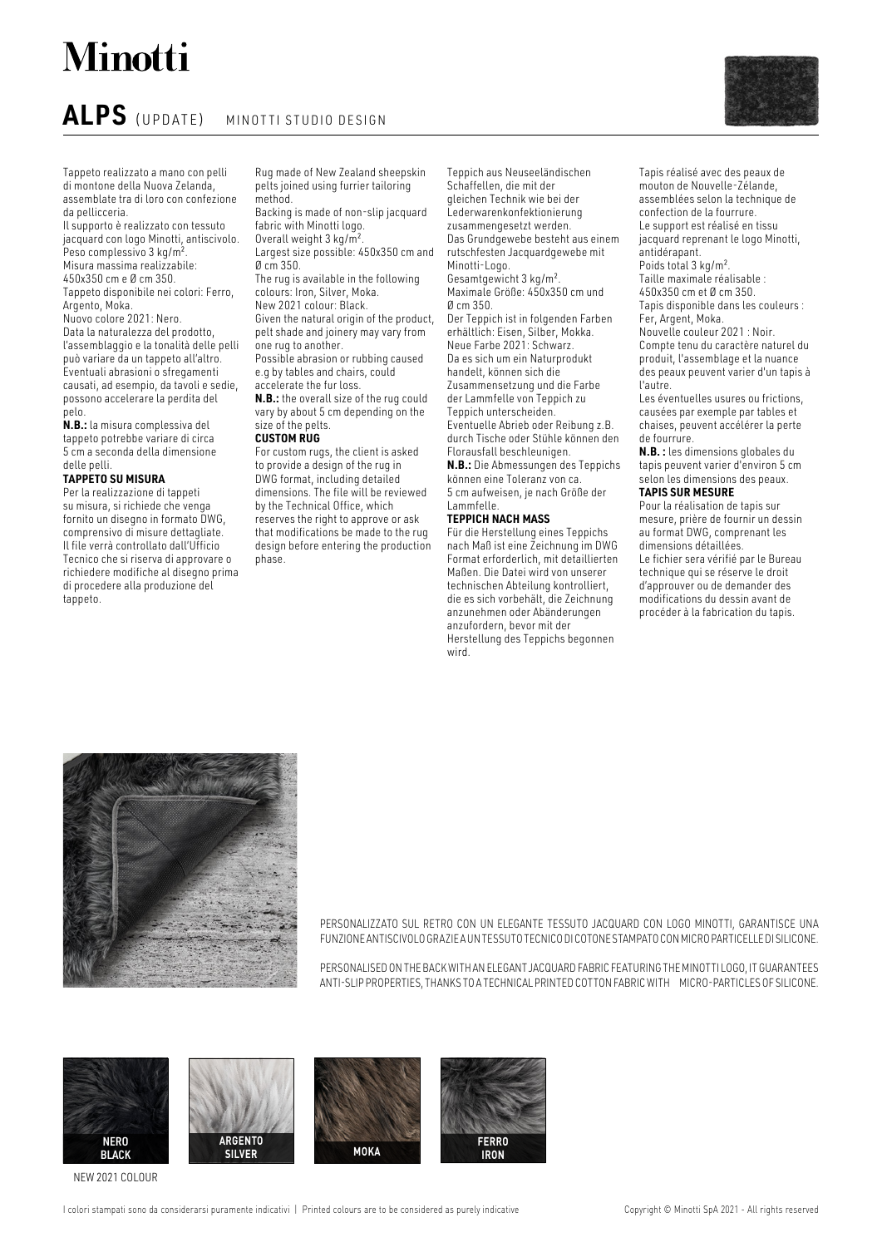# **Minotti**

## **ALPS** (UPDATE) MINOTTI STUDIO DESIGN

Tappeto realizzato a mano con pelli di montone della Nuova Zelanda, assemblate tra di loro con confezione da pellicceria.

Il supporto è realizzato con tessuto jacquard con logo Minotti, antiscivolo. Peso complessivo 3 kg/m<sup>2</sup> Misura massima realizzabile: 450x350 cm e Ø cm 350.

Tappeto disponibile nei colori: Ferro,

Argento, Moka.

Nuovo colore 2021: Nero. Data la naturalezza del prodotto, l'assemblaggio e la tonalità delle pelli può variare da un tappeto all'altro. Eventuali abrasioni o sfregamenti causati, ad esempio, da tavoli e sedie, possono accelerare la perdita del pelo.

**N.B.:** la misura complessiva del tappeto potrebbe variare di circa 5 cm a seconda della dimensione delle pelli.

### **TAPPETO SU MISURA**

Per la realizzazione di tappeti su misura, si richiede che venga fornito un disegno in formato DWG, comprensivo di misure dettagliate. Il file verrà controllato dall'Ufficio Tecnico che si riserva di approvare o richiedere modifiche al disegno prima di procedere alla produzione del tappeto.

Rug made of New Zealand sheepskin pelts joined using furrier tailoring method.

Backing is made of non-slip jacquard fabric with Minotti logo. Overall weight 3 kg/m².

Largest size possible: 450x350 cm and Ø cm 350.

The rug is available in the following colours: Iron, Silver, Moka. New 2021 colour: Black.

Given the natural origin of the product, pelt shade and joinery may vary from one rug to another. Possible abrasion or rubbing caused

e.g by tables and chairs, could accelerate the fur loss.

**N.B.:** the overall size of the rug could vary by about 5 cm depending on the size of the pelts.

### **CUSTOM RUG**

For custom rugs, the client is asked to provide a design of the rug in DWG format, including detailed dimensions. The file will be reviewed by the Technical Office, which reserves the right to approve or ask that modifications be made to the rug design before entering the production phase.

Teppich aus Neuseeländischen Schaffellen, die mit der gleichen Technik wie bei der Lederwarenkonfektionierung zusammengesetzt werden. Das Grundgewebe besteht aus einem rutschfesten Jacquardgewebe mit Minotti-Logo. Gesamtgewicht 3 kg/m². Maximale Größe: 450x350 cm und Ø cm 350. Der Teppich ist in folgenden Farben erhältlich: Eisen, Silber, Mokka. Neue Farbe 2021: Schwarz. Da es sich um ein Naturprodukt handelt, können sich die Zusammensetzung und die Farbe der Lammfelle von Teppich zu Teppich unterscheiden. Eventuelle Abrieb oder Reibung z.B. durch Tische oder Stühle können den Florausfall beschleunigen. **N.B.:** Die Abmessungen des Teppichs können eine Toleranz von ca. 5 cm aufweisen, je nach Größe der

#### Lammfelle. **TEPPICH NACH MASS**

Für die Herstellung eines Teppichs nach Maß ist eine Zeichnung im DWG Format erforderlich, mit detaillierten Maßen. Die Datei wird von unserer technischen Abteilung kontrolliert, die es sich vorbehält, die Zeichnung anzunehmen oder Abänderungen anzufordern, bevor mit der Herstellung des Teppichs begonnen wird.



Les éventuelles usures ou frictions, causées par exemple par tables et chaises, peuvent accélérer la perte de fourrure.

**N.B. :** les dimensions globales du tapis peuvent varier d'environ 5 cm selon les dimensions des peaux. **TAPIS SUR MESURE**

#### Pour la réalisation de tapis sur mesure, prière de fournir un dessin au format DWG, comprenant les dimensions détaillées. Le fichier sera vérifié par le Bureau technique qui se réserve le droit d'approuver ou de demander des modifications du dessin avant de procéder à la fabrication du tapis.



PERSONALIZZATO SUL RETRO CON UN ELEGANTE TESSUTO JACQUARD CON LOGO MINOTTI, GARANTISCE UNA FUNZIONE ANTISCIVOLO GRAZIE A UN TESSUTO TECNICO DI COTONE STAMPATO CON MICRO PARTICELLE DI SILICONE.

PERSONALISED ON THE BACK WITH AN ELEGANT JACQUARD FABRIC FEATURING THE MINOTTI LOGO, IT GUARANTEES ANTI-SLIP PROPERTIES, THANKS TO A TECHNICAL PRINTED COTTON FABRIC WITH MICRO-PARTICLES OF SILICONE.



NEW 2021 COLOUR

I colori stampati sono da considerarsi puramente indicativi | Printed colours are to be considered as purely indicative Copyright © Minotti SpA 2021 - All rights reserved